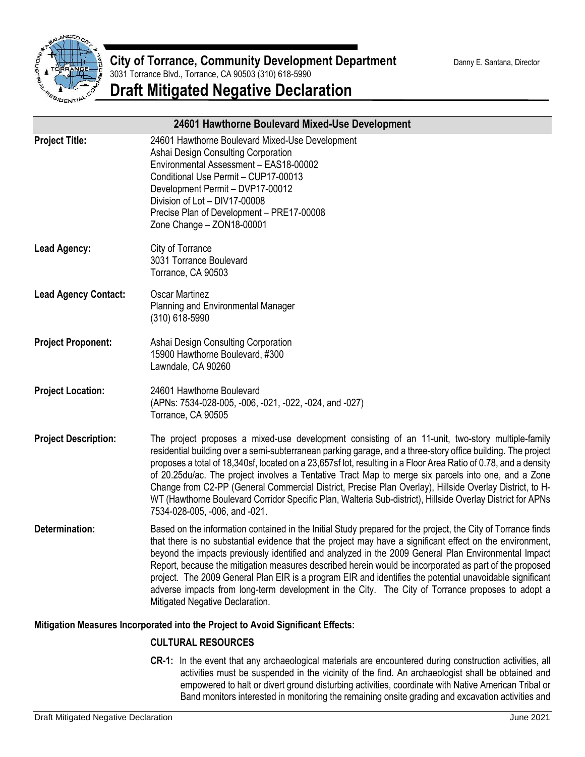

| 24601 Hawthorne Boulevard Mixed-Use Development |                                                                                                                                                                                                                                                                                                                                                                                                                                                                                                                                                                                                                                                                                                      |
|-------------------------------------------------|------------------------------------------------------------------------------------------------------------------------------------------------------------------------------------------------------------------------------------------------------------------------------------------------------------------------------------------------------------------------------------------------------------------------------------------------------------------------------------------------------------------------------------------------------------------------------------------------------------------------------------------------------------------------------------------------------|
| <b>Project Title:</b>                           | 24601 Hawthorne Boulevard Mixed-Use Development<br>Ashai Design Consulting Corporation<br>Environmental Assessment - EAS18-00002<br>Conditional Use Permit - CUP17-00013<br>Development Permit - DVP17-00012<br>Division of Lot - DIV17-00008<br>Precise Plan of Development - PRE17-00008<br>Zone Change - ZON18-00001                                                                                                                                                                                                                                                                                                                                                                              |
| <b>Lead Agency:</b>                             | City of Torrance<br>3031 Torrance Boulevard<br>Torrance, CA 90503                                                                                                                                                                                                                                                                                                                                                                                                                                                                                                                                                                                                                                    |
| <b>Lead Agency Contact:</b>                     | <b>Oscar Martinez</b><br>Planning and Environmental Manager<br>$(310)$ 618-5990                                                                                                                                                                                                                                                                                                                                                                                                                                                                                                                                                                                                                      |
| <b>Project Proponent:</b>                       | Ashai Design Consulting Corporation<br>15900 Hawthorne Boulevard, #300<br>Lawndale, CA 90260                                                                                                                                                                                                                                                                                                                                                                                                                                                                                                                                                                                                         |
| <b>Project Location:</b>                        | 24601 Hawthorne Boulevard<br>(APNs: 7534-028-005, -006, -021, -022, -024, and -027)<br>Torrance, CA 90505                                                                                                                                                                                                                                                                                                                                                                                                                                                                                                                                                                                            |
| <b>Project Description:</b>                     | The project proposes a mixed-use development consisting of an 11-unit, two-story multiple-family<br>residential building over a semi-subterranean parking garage, and a three-story office building. The project<br>proposes a total of 18,340sf, located on a 23,657sf lot, resulting in a Floor Area Ratio of 0.78, and a density<br>of 20.25du/ac. The project involves a Tentative Tract Map to merge six parcels into one, and a Zone<br>Change from C2-PP (General Commercial District, Precise Plan Overlay), Hillside Overlay District, to H-<br>WT (Hawthorne Boulevard Corridor Specific Plan, Walteria Sub-district), Hillside Overlay District for APNs<br>7534-028-005, -006, and -021. |
| <b>Determination:</b>                           | Based on the information contained in the Initial Study prepared for the project, the City of Torrance finds<br>that there is no substantial evidence that the project may have a significant effect on the environment,<br>beyond the impacts previously identified and analyzed in the 2009 General Plan Environmental Impact<br>Report, because the mitigation measures described herein would be incorporated as part of the proposed<br>project. The 2009 General Plan EIR is a program EIR and identifies the potential unavoidable significant<br>adverse impacts from long-term development in the City. The City of Torrance proposes to adopt a<br>Mitigated Negative Declaration.         |

#### **Mitigation Measures Incorporated into the Project to Avoid Significant Effects:**

#### **CULTURAL RESOURCES**

**CR-1:** In the event that any archaeological materials are encountered during construction activities, all activities must be suspended in the vicinity of the find. An archaeologist shall be obtained and empowered to halt or divert ground disturbing activities, coordinate with Native American Tribal or Band monitors interested in monitoring the remaining onsite grading and excavation activities and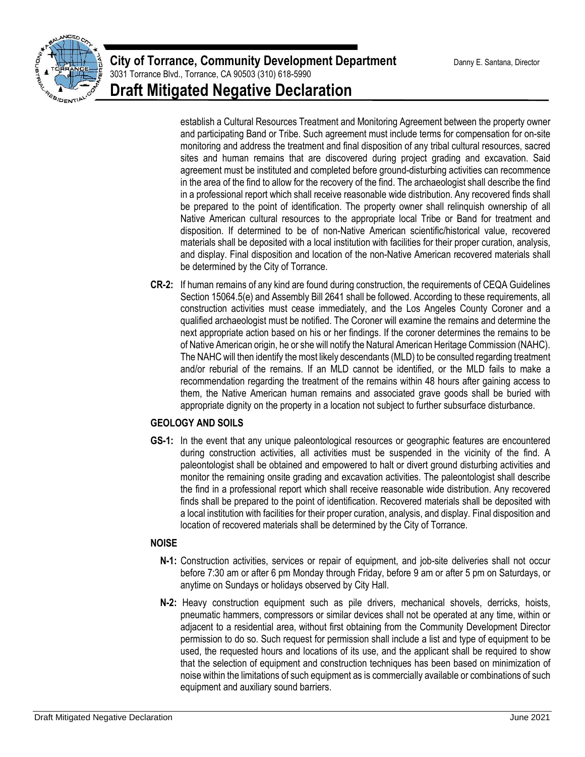

establish a Cultural Resources Treatment and Monitoring Agreement between the property owner and participating Band or Tribe. Such agreement must include terms for compensation for on-site monitoring and address the treatment and final disposition of any tribal cultural resources, sacred sites and human remains that are discovered during project grading and excavation. Said agreement must be instituted and completed before ground-disturbing activities can recommence in the area of the find to allow for the recovery of the find. The archaeologist shall describe the find in a professional report which shall receive reasonable wide distribution. Any recovered finds shall be prepared to the point of identification. The property owner shall relinquish ownership of all Native American cultural resources to the appropriate local Tribe or Band for treatment and disposition. If determined to be of non-Native American scientific/historical value, recovered materials shall be deposited with a local institution with facilities for their proper curation, analysis, and display. Final disposition and location of the non-Native American recovered materials shall be determined by the City of Torrance.

**CR-2:** If human remains of any kind are found during construction, the requirements of CEQA Guidelines Section 15064.5(e) and Assembly Bill 2641 shall be followed. According to these requirements, all construction activities must cease immediately, and the Los Angeles County Coroner and a qualified archaeologist must be notified. The Coroner will examine the remains and determine the next appropriate action based on his or her findings. If the coroner determines the remains to be of Native American origin, he or she will notify the Natural American Heritage Commission (NAHC). The NAHC will then identify the most likely descendants (MLD) to be consulted regarding treatment and/or reburial of the remains. If an MLD cannot be identified, or the MLD fails to make a recommendation regarding the treatment of the remains within 48 hours after gaining access to them, the Native American human remains and associated grave goods shall be buried with appropriate dignity on the property in a location not subject to further subsurface disturbance.

## **GEOLOGY AND SOILS**

**GS-1:** In the event that any unique paleontological resources or geographic features are encountered during construction activities, all activities must be suspended in the vicinity of the find. A paleontologist shall be obtained and empowered to halt or divert ground disturbing activities and monitor the remaining onsite grading and excavation activities. The paleontologist shall describe the find in a professional report which shall receive reasonable wide distribution. Any recovered finds shall be prepared to the point of identification. Recovered materials shall be deposited with a local institution with facilities for their proper curation, analysis, and display. Final disposition and location of recovered materials shall be determined by the City of Torrance.

## **NOISE**

- **N-1:** Construction activities, services or repair of equipment, and job-site deliveries shall not occur before 7:30 am or after 6 pm Monday through Friday, before 9 am or after 5 pm on Saturdays, or anytime on Sundays or holidays observed by City Hall.
- **N-2:** Heavy construction equipment such as pile drivers, mechanical shovels, derricks, hoists, pneumatic hammers, compressors or similar devices shall not be operated at any time, within or adjacent to a residential area, without first obtaining from the Community Development Director permission to do so. Such request for permission shall include a list and type of equipment to be used, the requested hours and locations of its use, and the applicant shall be required to show that the selection of equipment and construction techniques has been based on minimization of noise within the limitations of such equipment as is commercially available or combinations of such equipment and auxiliary sound barriers.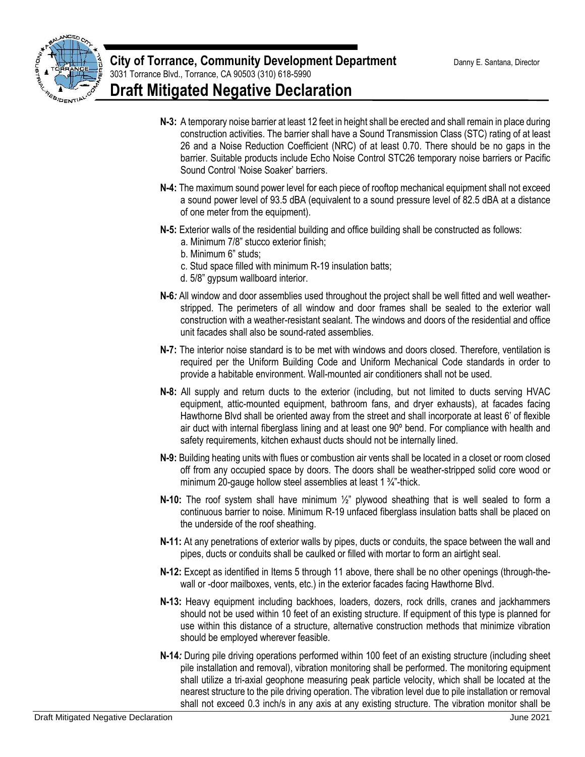

- **N-3:** A temporary noise barrier at least 12 feet in height shall be erected and shall remain in place during construction activities. The barrier shall have a Sound Transmission Class (STC) rating of at least 26 and a Noise Reduction Coefficient (NRC) of at least 0.70. There should be no gaps in the barrier. Suitable products include Echo Noise Control STC26 temporary noise barriers or Pacific Sound Control 'Noise Soaker' barriers.
- **N-4:** The maximum sound power level for each piece of rooftop mechanical equipment shall not exceed a sound power level of 93.5 dBA (equivalent to a sound pressure level of 82.5 dBA at a distance of one meter from the equipment).
- **N-5:** Exterior walls of the residential building and office building shall be constructed as follows:
	- a. Minimum 7/8" stucco exterior finish;
	- b. Minimum 6" studs;
	- c. Stud space filled with minimum R-19 insulation batts;
	- d. 5/8" gypsum wallboard interior.
- **N-6***:* All window and door assemblies used throughout the project shall be well fitted and well weatherstripped. The perimeters of all window and door frames shall be sealed to the exterior wall construction with a weather-resistant sealant. The windows and doors of the residential and office unit facades shall also be sound-rated assemblies.
- **N-7:** The interior noise standard is to be met with windows and doors closed. Therefore, ventilation is required per the Uniform Building Code and Uniform Mechanical Code standards in order to provide a habitable environment. Wall-mounted air conditioners shall not be used.
- **N-8:** All supply and return ducts to the exterior (including, but not limited to ducts serving HVAC equipment, attic-mounted equipment, bathroom fans, and dryer exhausts), at facades facing Hawthorne Blvd shall be oriented away from the street and shall incorporate at least 6' of flexible air duct with internal fiberglass lining and at least one 90º bend. For compliance with health and safety requirements, kitchen exhaust ducts should not be internally lined.
- **N-9:** Building heating units with flues or combustion air vents shall be located in a closet or room closed off from any occupied space by doors. The doors shall be weather-stripped solid core wood or minimum 20-gauge hollow steel assemblies at least 1 ¾"-thick.
- **N-10:** The roof system shall have minimum ½" plywood sheathing that is well sealed to form a continuous barrier to noise. Minimum R-19 unfaced fiberglass insulation batts shall be placed on the underside of the roof sheathing.
- **N-11:** At any penetrations of exterior walls by pipes, ducts or conduits, the space between the wall and pipes, ducts or conduits shall be caulked or filled with mortar to form an airtight seal.
- **N-12:** Except as identified in Items 5 through 11 above, there shall be no other openings (through-thewall or -door mailboxes, vents, etc.) in the exterior facades facing Hawthorne Blvd.
- **N-13:** Heavy equipment including backhoes, loaders, dozers, rock drills, cranes and jackhammers should not be used within 10 feet of an existing structure. If equipment of this type is planned for use within this distance of a structure, alternative construction methods that minimize vibration should be employed wherever feasible.
- **N-14***:* During pile driving operations performed within 100 feet of an existing structure (including sheet pile installation and removal), vibration monitoring shall be performed. The monitoring equipment shall utilize a tri-axial geophone measuring peak particle velocity, which shall be located at the nearest structure to the pile driving operation. The vibration level due to pile installation or removal shall not exceed 0.3 inch/s in any axis at any existing structure. The vibration monitor shall be